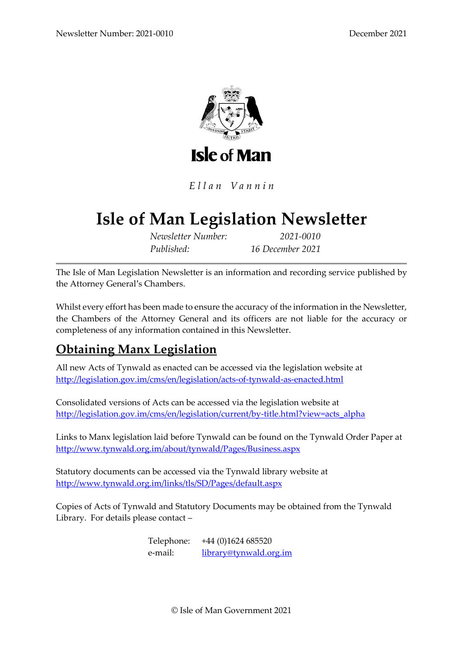

Ellan Vannin

# **Isle of Man Legislation Newsletter**

*Newsletter Number: 2021-0010 Published: 16 December 2021*

The Isle of Man Legislation Newsletter is an information and recording service published by the Attorney General's Chambers.

Whilst every effort has been made to ensure the accuracy of the information in the Newsletter, the Chambers of the Attorney General and its officers are not liable for the accuracy or completeness of any information contained in this Newsletter.

# **Obtaining Manx Legislation**

All new Acts of Tynwald as enacted can be accessed via the legislation website at <http://legislation.gov.im/cms/en/legislation/acts-of-tynwald-as-enacted.html>

Consolidated versions of Acts can be accessed via the legislation website at [http://legislation.gov.im/cms/en/legislation/current/by-title.html?view=acts\\_alpha](http://legislation.gov.im/cms/en/legislation/current/by-title.html?view=acts_alpha)

Links to Manx legislation laid before Tynwald can be found on the Tynwald Order Paper at <http://www.tynwald.org.im/about/tynwald/Pages/Business.aspx>

Statutory documents can be accessed via the Tynwald library website at <http://www.tynwald.org.im/links/tls/SD/Pages/default.aspx>

Copies of Acts of Tynwald and Statutory Documents may be obtained from the Tynwald Library. For details please contact –

> Telephone: +44 (0)1624 685520 e-mail: [library@tynwald.org.im](mailto:library@tynwald.org.im)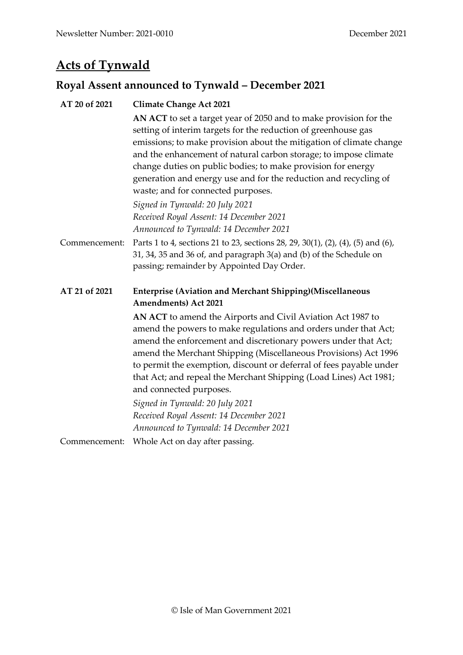# **Acts of Tynwald**

# **Royal Assent announced to Tynwald – December 2021**

| AT 20 of 2021 | <b>Climate Change Act 2021</b>                                                                                                                                                                                                                                                                                                                                                                                                                                                                                                                                                   |  |  |
|---------------|----------------------------------------------------------------------------------------------------------------------------------------------------------------------------------------------------------------------------------------------------------------------------------------------------------------------------------------------------------------------------------------------------------------------------------------------------------------------------------------------------------------------------------------------------------------------------------|--|--|
|               | AN ACT to set a target year of 2050 and to make provision for the<br>setting of interim targets for the reduction of greenhouse gas<br>emissions; to make provision about the mitigation of climate change<br>and the enhancement of natural carbon storage; to impose climate<br>change duties on public bodies; to make provision for energy<br>generation and energy use and for the reduction and recycling of<br>waste; and for connected purposes.<br>Signed in Tynwald: 20 July 2021<br>Received Royal Assent: 14 December 2021<br>Announced to Tynwald: 14 December 2021 |  |  |
| Commencement: | Parts 1 to 4, sections 21 to 23, sections 28, 29, 30(1), (2), (4), (5) and (6),<br>31, 34, 35 and 36 of, and paragraph 3(a) and (b) of the Schedule on<br>passing; remainder by Appointed Day Order.                                                                                                                                                                                                                                                                                                                                                                             |  |  |
| AT 21 of 2021 | <b>Enterprise (Aviation and Merchant Shipping)(Miscellaneous</b><br><b>Amendments</b> ) Act 2021                                                                                                                                                                                                                                                                                                                                                                                                                                                                                 |  |  |
|               | AN ACT to amend the Airports and Civil Aviation Act 1987 to<br>amend the powers to make regulations and orders under that Act;<br>amend the enforcement and discretionary powers under that Act;<br>amend the Merchant Shipping (Miscellaneous Provisions) Act 1996<br>to permit the exemption, discount or deferral of fees payable under<br>that Act; and repeal the Merchant Shipping (Load Lines) Act 1981;<br>and connected purposes.                                                                                                                                       |  |  |
|               | Signed in Tynwald: 20 July 2021<br>Received Royal Assent: 14 December 2021<br>Announced to Tynwald: 14 December 2021                                                                                                                                                                                                                                                                                                                                                                                                                                                             |  |  |
| Commencement: | Whole Act on day after passing.                                                                                                                                                                                                                                                                                                                                                                                                                                                                                                                                                  |  |  |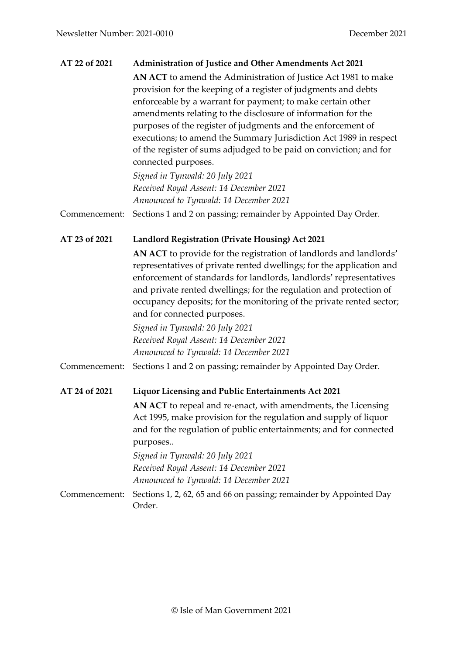| AT 22 of 2021 | <b>Administration of Justice and Other Amendments Act 2021</b>                                                                                                                                                                                                                                                                                                                                                                                                                                    |
|---------------|---------------------------------------------------------------------------------------------------------------------------------------------------------------------------------------------------------------------------------------------------------------------------------------------------------------------------------------------------------------------------------------------------------------------------------------------------------------------------------------------------|
|               | AN ACT to amend the Administration of Justice Act 1981 to make<br>provision for the keeping of a register of judgments and debts<br>enforceable by a warrant for payment; to make certain other<br>amendments relating to the disclosure of information for the<br>purposes of the register of judgments and the enforcement of<br>executions; to amend the Summary Jurisdiction Act 1989 in respect<br>of the register of sums adjudged to be paid on conviction; and for<br>connected purposes. |
|               | Signed in Tynwald: 20 July 2021<br>Received Royal Assent: 14 December 2021                                                                                                                                                                                                                                                                                                                                                                                                                        |
|               | Announced to Tynwald: 14 December 2021                                                                                                                                                                                                                                                                                                                                                                                                                                                            |
| Commencement: | Sections 1 and 2 on passing; remainder by Appointed Day Order.                                                                                                                                                                                                                                                                                                                                                                                                                                    |
| AT 23 of 2021 | Landlord Registration (Private Housing) Act 2021                                                                                                                                                                                                                                                                                                                                                                                                                                                  |
|               | AN ACT to provide for the registration of landlords and landlords'<br>representatives of private rented dwellings; for the application and<br>enforcement of standards for landlords, landlords' representatives<br>and private rented dwellings; for the regulation and protection of<br>occupancy deposits; for the monitoring of the private rented sector;<br>and for connected purposes.<br>Signed in Tynwald: 20 July 2021                                                                  |
|               | Received Royal Assent: 14 December 2021                                                                                                                                                                                                                                                                                                                                                                                                                                                           |
|               | Announced to Tynwald: 14 December 2021                                                                                                                                                                                                                                                                                                                                                                                                                                                            |
| Commencement: | Sections 1 and 2 on passing; remainder by Appointed Day Order.                                                                                                                                                                                                                                                                                                                                                                                                                                    |
| AT 24 of 2021 | Liquor Licensing and Public Entertainments Act 2021                                                                                                                                                                                                                                                                                                                                                                                                                                               |
|               | AN ACT to repeal and re-enact, with amendments, the Licensing<br>Act 1995, make provision for the regulation and supply of liquor<br>and for the regulation of public entertainments; and for connected<br>purposes                                                                                                                                                                                                                                                                               |
|               | Signed in Tynwald: 20 July 2021                                                                                                                                                                                                                                                                                                                                                                                                                                                                   |
|               | Received Royal Assent: 14 December 2021<br>Announced to Tynwald: 14 December 2021                                                                                                                                                                                                                                                                                                                                                                                                                 |
| Commencement: | Sections 1, 2, 62, 65 and 66 on passing; remainder by Appointed Day<br>Order.                                                                                                                                                                                                                                                                                                                                                                                                                     |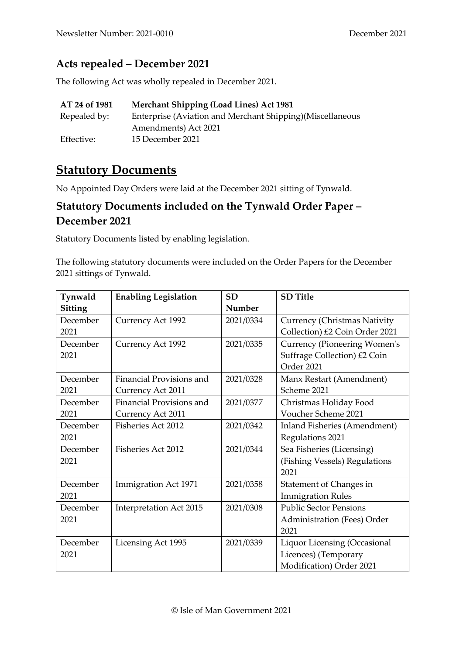#### **Acts repealed – December 2021**

The following Act was wholly repealed in December 2021.

| AT 24 of 1981 | <b>Merchant Shipping (Load Lines) Act 1981</b>            |
|---------------|-----------------------------------------------------------|
| Repealed by:  | Enterprise (Aviation and Merchant Shipping)(Miscellaneous |
|               | Amendments) Act 2021                                      |
| Effective:    | 15 December 2021                                          |

#### **Statutory Documents**

No Appointed Day Orders were laid at the December 2021 sitting of Tynwald.

#### **Statutory Documents included on the Tynwald Order Paper – December 2021**

Statutory Documents listed by enabling legislation.

The following statutory documents were included on the Order Papers for the December 2021 sittings of Tynwald.

| Tynwald        | <b>Enabling Legislation</b>     | <b>SD</b> | <b>SD</b> Title                     |
|----------------|---------------------------------|-----------|-------------------------------------|
| <b>Sitting</b> |                                 | Number    |                                     |
| December       | Currency Act 1992               | 2021/0334 | Currency (Christmas Nativity        |
| 2021           |                                 |           | Collection) £2 Coin Order 2021      |
| December       | Currency Act 1992               | 2021/0335 | <b>Currency (Pioneering Women's</b> |
| 2021           |                                 |           | Suffrage Collection) £2 Coin        |
|                |                                 |           | Order 2021                          |
| December       | Financial Provisions and        | 2021/0328 | Manx Restart (Amendment)            |
| 2021           | Currency Act 2011               |           | Scheme 2021                         |
| December       | <b>Financial Provisions and</b> | 2021/0377 | Christmas Holiday Food              |
| 2021           | Currency Act 2011               |           | Voucher Scheme 2021                 |
| December       | <b>Fisheries Act 2012</b>       | 2021/0342 | Inland Fisheries (Amendment)        |
| 2021           |                                 |           | Regulations 2021                    |
| December       | Fisheries Act 2012              | 2021/0344 | Sea Fisheries (Licensing)           |
| 2021           |                                 |           | (Fishing Vessels) Regulations       |
|                |                                 |           | 2021                                |
| December       | Immigration Act 1971            | 2021/0358 | Statement of Changes in             |
| 2021           |                                 |           | <b>Immigration Rules</b>            |
| December       | Interpretation Act 2015         | 2021/0308 | <b>Public Sector Pensions</b>       |
| 2021           |                                 |           | Administration (Fees) Order         |
|                |                                 |           | 2021                                |
| December       | Licensing Act 1995              | 2021/0339 | Liquor Licensing (Occasional        |
| 2021           |                                 |           | Licences) (Temporary                |
|                |                                 |           | Modification) Order 2021            |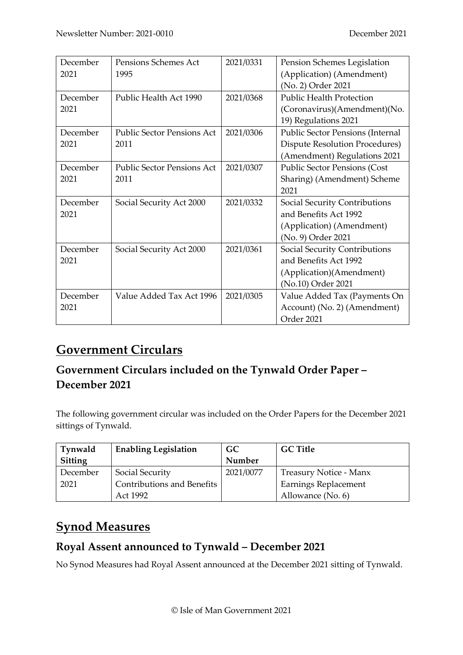| December | Pensions Schemes Act              | 2021/0331 | Pension Schemes Legislation             |
|----------|-----------------------------------|-----------|-----------------------------------------|
| 2021     | 1995                              |           | (Application) (Amendment)               |
|          |                                   |           | (No. 2) Order 2021                      |
| December | Public Health Act 1990            | 2021/0368 | <b>Public Health Protection</b>         |
| 2021     |                                   |           | (Coronavirus)(Amendment)(No.            |
|          |                                   |           | 19) Regulations 2021                    |
| December | <b>Public Sector Pensions Act</b> | 2021/0306 | <b>Public Sector Pensions (Internal</b> |
| 2021     | 2011                              |           | <b>Dispute Resolution Procedures)</b>   |
|          |                                   |           | (Amendment) Regulations 2021            |
| December | <b>Public Sector Pensions Act</b> | 2021/0307 | <b>Public Sector Pensions (Cost</b>     |
| 2021     | 2011                              |           | Sharing) (Amendment) Scheme             |
|          |                                   |           | 2021                                    |
| December | Social Security Act 2000          | 2021/0332 | Social Security Contributions           |
| 2021     |                                   |           | and Benefits Act 1992                   |
|          |                                   |           | (Application) (Amendment)               |
|          |                                   |           | (No. 9) Order 2021                      |
| December | Social Security Act 2000          | 2021/0361 | Social Security Contributions           |
| 2021     |                                   |           | and Benefits Act 1992                   |
|          |                                   |           | (Application)(Amendment)                |
|          |                                   |           | (No.10) Order 2021                      |
| December | Value Added Tax Act 1996          | 2021/0305 | Value Added Tax (Payments On            |
| 2021     |                                   |           | Account) (No. 2) (Amendment)            |
|          |                                   |           | Order 2021                              |

# **Government Circulars**

#### **Government Circulars included on the Tynwald Order Paper – December 2021**

The following government circular was included on the Order Papers for the December 2021 sittings of Tynwald.

| Tynwald  | <b>Enabling Legislation</b>       | <b>GC</b> | <b>GC Title</b>        |
|----------|-----------------------------------|-----------|------------------------|
| Sitting  |                                   | Number    |                        |
| December | Social Security                   | 2021/0077 | Treasury Notice - Manx |
| 2021     | <b>Contributions and Benefits</b> |           | Earnings Replacement   |
|          | Act 1992                          |           | Allowance (No. 6)      |

# **Synod Measures**

#### **Royal Assent announced to Tynwald – December 2021**

No Synod Measures had Royal Assent announced at the December 2021 sitting of Tynwald.